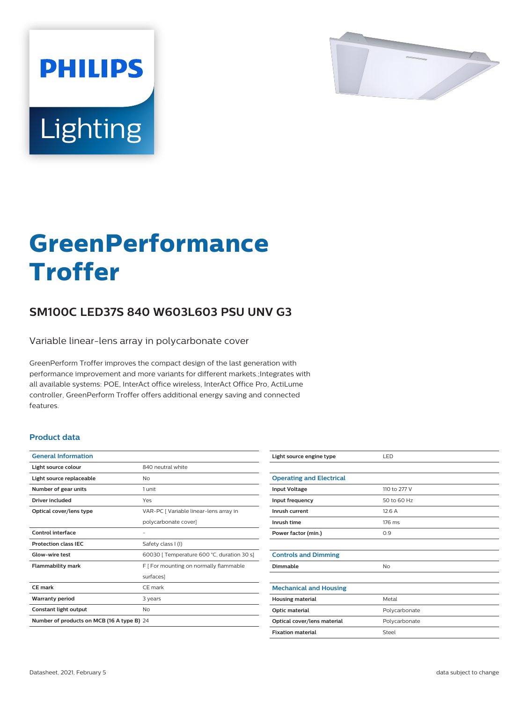

# Lighting

**PHILIPS** 

# **GreenPerformance Troffer**

## **SM100C LED37S 840 W603L603 PSU UNV G3**

Variable linear-lens array in polycarbonate cover

GreenPerform Troffer improves the compact design of the last generation with performance improvement and more variants for different markets.;Integrates with all available systems: POE, InterAct office wireless, InterAct Office Pro, ActiLume controller, GreenPerform Troffer offers additional energy saving and connected features.

#### **Product data**

| <b>General Information</b>                 |                                            |
|--------------------------------------------|--------------------------------------------|
| Light source colour                        | 840 neutral white                          |
| Light source replaceable                   | Nο                                         |
| Number of gear units                       | 1 unit                                     |
| Driver included                            | Yes                                        |
| Optical cover/lens type                    | VAR-PC   Variable linear-lens array in     |
|                                            | polycarbonate cover]                       |
| <b>Control interface</b>                   |                                            |
| <b>Protection class IEC</b>                | Safety class I (I)                         |
| Glow-wire test                             | 60030   Temperature 600 °C, duration 30 s] |
| <b>Flammability mark</b>                   | F   For mounting on normally flammable     |
|                                            | surfaces]                                  |
| CF mark                                    | CF mark                                    |
| <b>Warranty period</b>                     | 3 years                                    |
| Constant light output                      | No                                         |
| Number of products on MCB (16 A type B) 24 |                                            |

| Light source engine type        | LED           |
|---------------------------------|---------------|
|                                 |               |
| <b>Operating and Electrical</b> |               |
| <b>Input Voltage</b>            | 110 to 277 V  |
| Input frequency                 | 50 to 60 Hz   |
| Inrush current                  | 12.6A         |
| Inrush time                     | 176 ms        |
| Power factor (min.)             | 0.9           |
|                                 |               |
| <b>Controls and Dimming</b>     |               |
| Dimmable                        | No            |
|                                 |               |
| <b>Mechanical and Housing</b>   |               |
| <b>Housing material</b>         | Metal         |
| Optic material                  | Polycarbonate |
| Optical cover/lens material     | Polycarbonate |
| <b>Fixation material</b>        | Steel         |
|                                 |               |